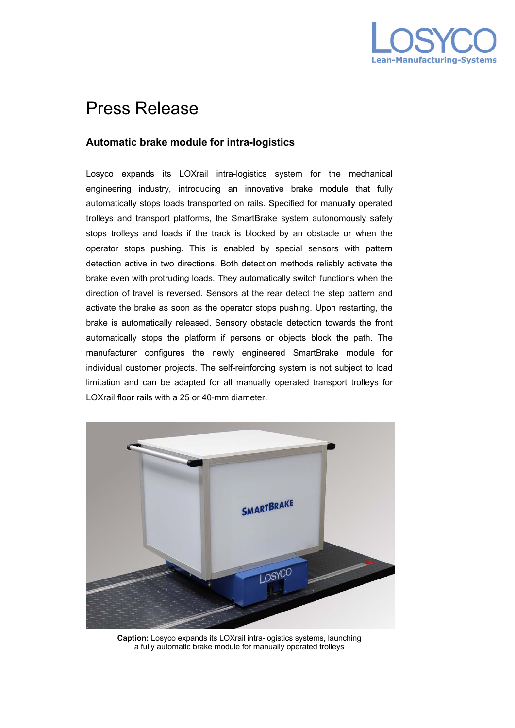

## Press Release

## **Automatic brake module for intra-logistics**

Losyco expands its LOXrail intra-logistics system for the mechanical engineering industry, introducing an innovative brake module that fully automatically stops loads transported on rails. Specified for manually operated trolleys and transport platforms, the SmartBrake system autonomously safely stops trolleys and loads if the track is blocked by an obstacle or when the operator stops pushing. This is enabled by special sensors with pattern detection active in two directions. Both detection methods reliably activate the brake even with protruding loads. They automatically switch functions when the direction of travel is reversed. Sensors at the rear detect the step pattern and activate the brake as soon as the operator stops pushing. Upon restarting, the brake is automatically released. Sensory obstacle detection towards the front automatically stops the platform if persons or objects block the path. The manufacturer configures the newly engineered SmartBrake module for individual customer projects. The self-reinforcing system is not subject to load limitation and can be adapted for all manually operated transport trolleys for LOXrail floor rails with a 25 or 40-mm diameter.



**Caption:** Losyco expands its LOXrail intra-logistics systems, launching a fully automatic brake module for manually operated trolleys